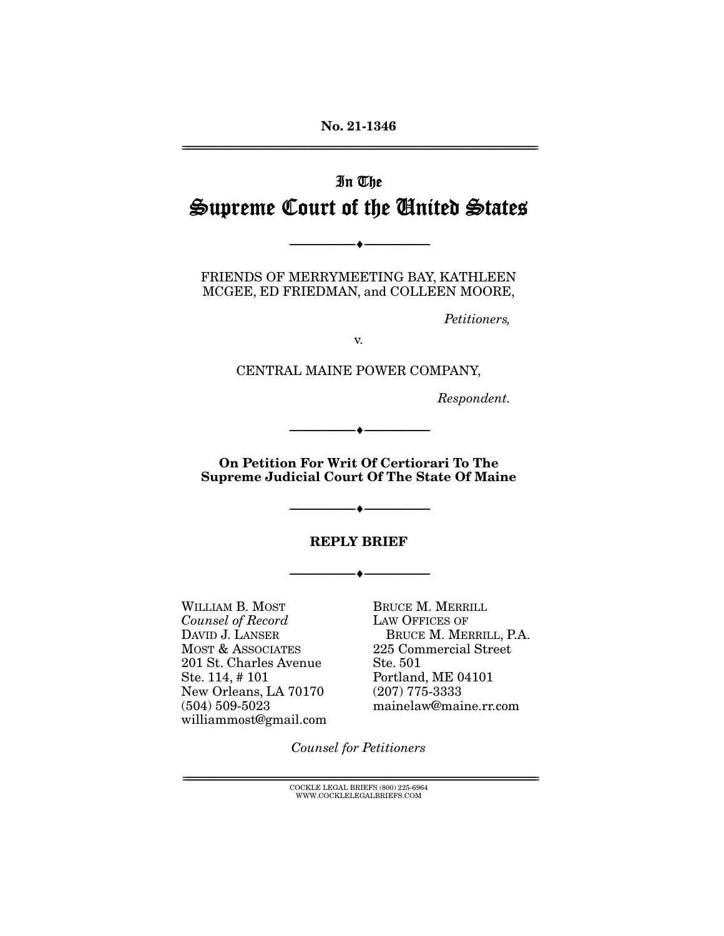# In The Supreme Court of the United States

FRIENDS OF MERRYMEETING BAY, KATHLEEN MCGEE, ED FRIEDMAN, and COLLEEN MOORE,

--------------------------------- ♦ ---------------------------------

Petitioners,

v.

CENTRAL MAINE POWER COMPANY,

Respondent.

**On Petition For Writ Of Certiorari To The Supreme Judicial Court Of The State Of Maine** 

--------------------------------- ♦ ---------------------------------

#### **REPLY BRIEF**

--------------------------------- ♦ ---------------------------------

--------------------------------- ♦ ---------------------------------

WILLIAM B. MOST Counsel of Record DAVID J. LANSER MOST & ASSOCIATES 201 St. Charles Avenue Ste. 114, # 101 New Orleans, LA 70170 (504) 509-5023 williammost@gmail.com

BRUCE M. MERRILL LAW OFFICES OF BRUCE M. MERRILL, P.A. 225 Commercial Street Ste. 501 Portland, ME 04101 (207) 775-3333 mainelaw@maine.rr.com

Counsel for Petitioners

 $\text{COCKLE LEGAL BRIEFS}$  (800) 225-6964 WWW.COCKLELEGALBRIEFS.COM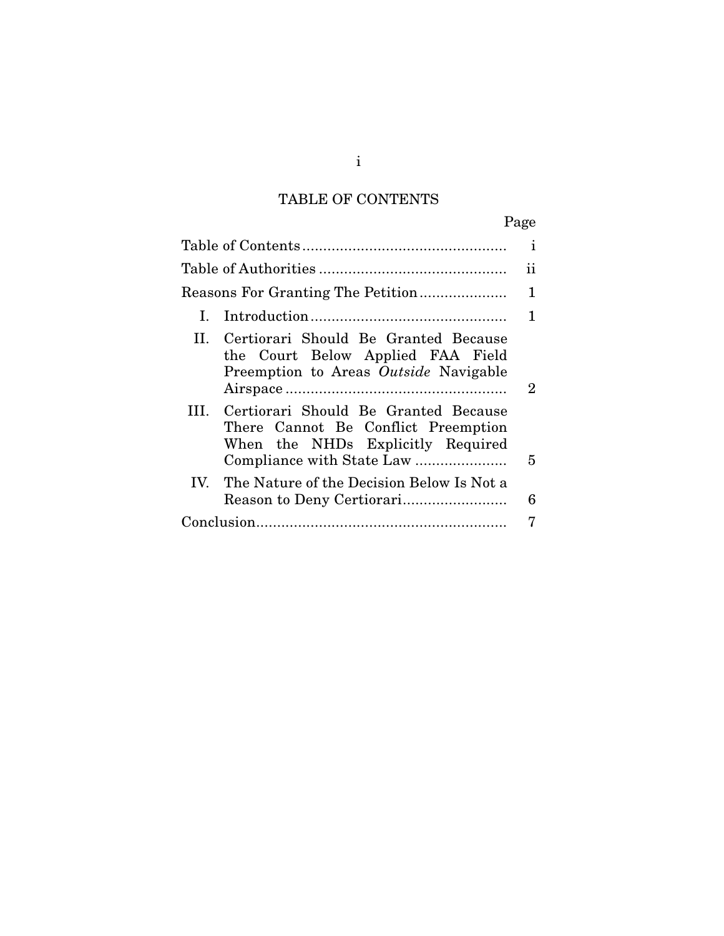## TABLE OF CONTENTS

| ñ<br>о<br>я<br>4 |
|------------------|
|------------------|

|              |                                                                                                                    | $\mathbf{i}$   |
|--------------|--------------------------------------------------------------------------------------------------------------------|----------------|
|              |                                                                                                                    | 11             |
|              |                                                                                                                    | 1              |
| $\mathbf{L}$ |                                                                                                                    | 1              |
| H.           | Certiorari Should Be Granted Because<br>the Court Below Applied FAA Field<br>Preemption to Areas Outside Navigable | $\overline{2}$ |
| HL.          | Certiorari Should Be Granted Because<br>There Cannot Be Conflict Preemption<br>When the NHDs Explicitly Required   | 5              |
|              | IV. The Nature of the Decision Below Is Not a                                                                      | 6              |
|              |                                                                                                                    | 7              |

i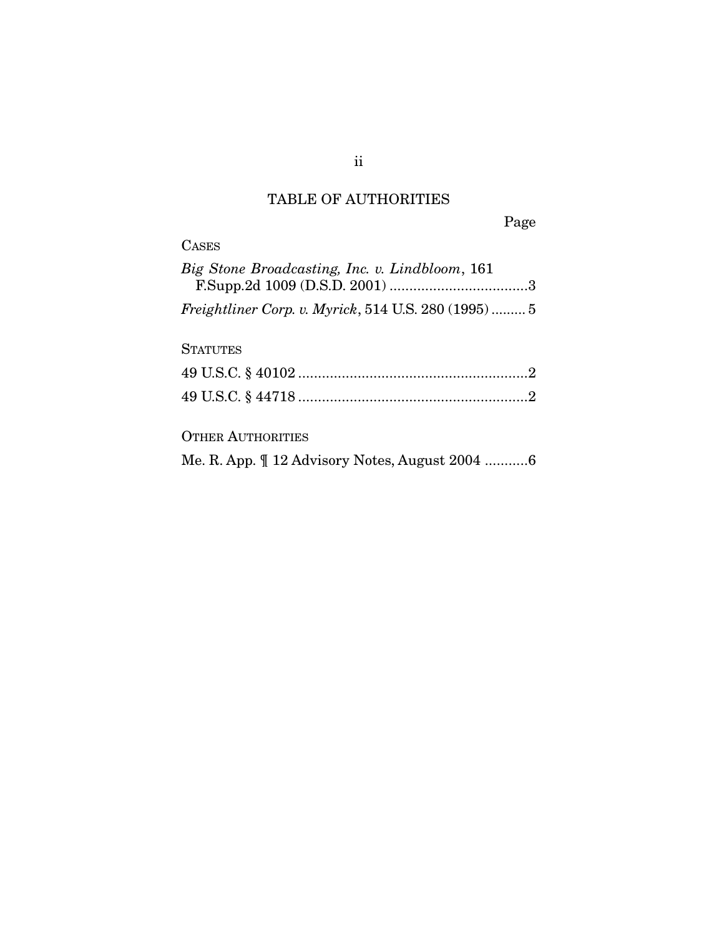## TABLE OF AUTHORITIES

Page

| <b>CASES</b>                                               |
|------------------------------------------------------------|
| Big Stone Broadcasting, Inc. v. Lindbloom, 161             |
| <i>Freightliner Corp. v. Myrick,</i> 514 U.S. 280 (1995) 5 |
| <b>STATUTES</b>                                            |
|                                                            |
|                                                            |
| <b>OTHER AUTHORITIES</b>                                   |
| Me. R. App. $\mathbb{Z}$ 12 Advisory Notes, August 2004 6  |

ii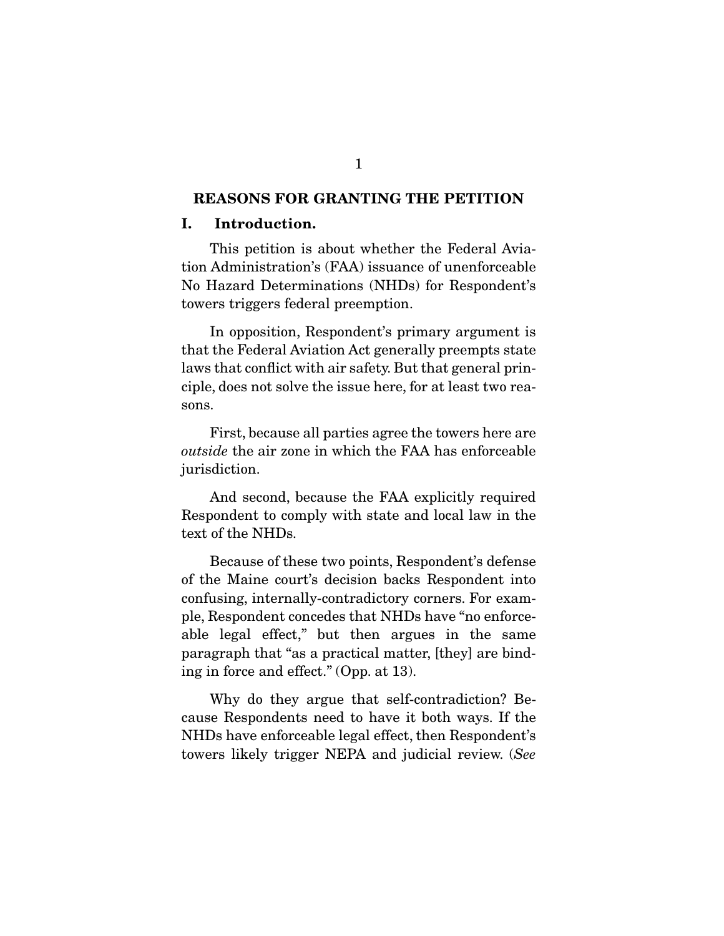#### **REASONS FOR GRANTING THE PETITION**

#### **I. Introduction.**

 This petition is about whether the Federal Aviation Administration's (FAA) issuance of unenforceable No Hazard Determinations (NHDs) for Respondent's towers triggers federal preemption.

 In opposition, Respondent's primary argument is that the Federal Aviation Act generally preempts state laws that conflict with air safety. But that general principle, does not solve the issue here, for at least two reasons.

 First, because all parties agree the towers here are outside the air zone in which the FAA has enforceable jurisdiction.

 And second, because the FAA explicitly required Respondent to comply with state and local law in the text of the NHDs.

 Because of these two points, Respondent's defense of the Maine court's decision backs Respondent into confusing, internally-contradictory corners. For example, Respondent concedes that NHDs have "no enforceable legal effect," but then argues in the same paragraph that "as a practical matter, [they] are binding in force and effect." (Opp. at 13).

 Why do they argue that self-contradiction? Because Respondents need to have it both ways. If the NHDs have enforceable legal effect, then Respondent's towers likely trigger NEPA and judicial review. (See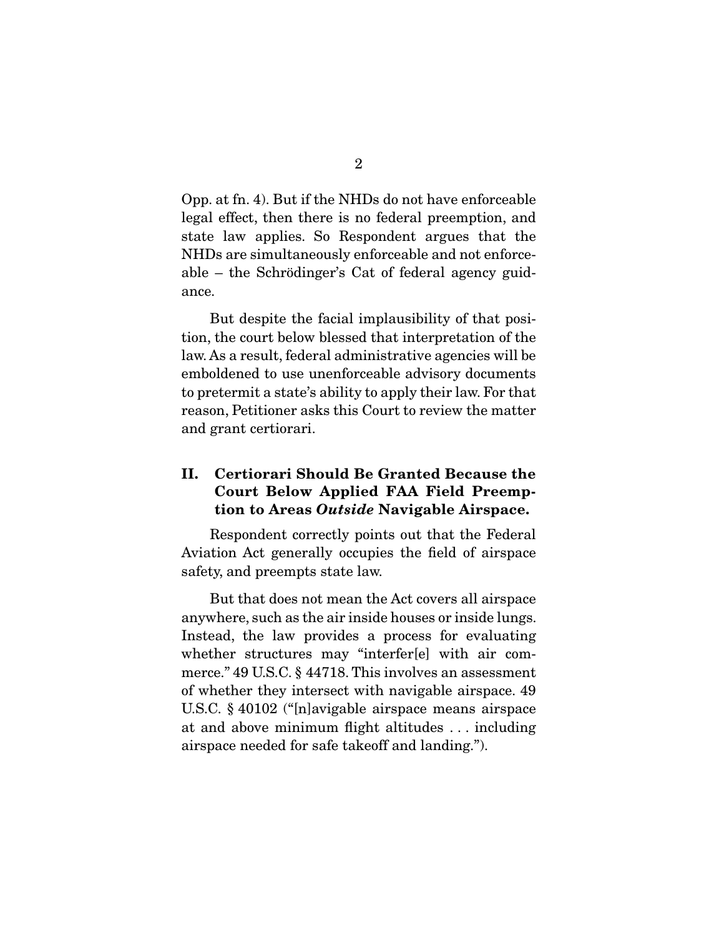Opp. at fn. 4). But if the NHDs do not have enforceable legal effect, then there is no federal preemption, and state law applies. So Respondent argues that the NHDs are simultaneously enforceable and not enforceable – the Schrödinger's Cat of federal agency guidance.

 But despite the facial implausibility of that position, the court below blessed that interpretation of the law. As a result, federal administrative agencies will be emboldened to use unenforceable advisory documents to pretermit a state's ability to apply their law. For that reason, Petitioner asks this Court to review the matter and grant certiorari.

### **II. Certiorari Should Be Granted Because the Court Below Applied FAA Field Preemption to Areas** *Outside* **Navigable Airspace.**

 Respondent correctly points out that the Federal Aviation Act generally occupies the field of airspace safety, and preempts state law.

 But that does not mean the Act covers all airspace anywhere, such as the air inside houses or inside lungs. Instead, the law provides a process for evaluating whether structures may "interfer[e] with air commerce." 49 U.S.C. § 44718. This involves an assessment of whether they intersect with navigable airspace. 49 U.S.C. § 40102 ("[n]avigable airspace means airspace at and above minimum flight altitudes . . . including airspace needed for safe takeoff and landing.").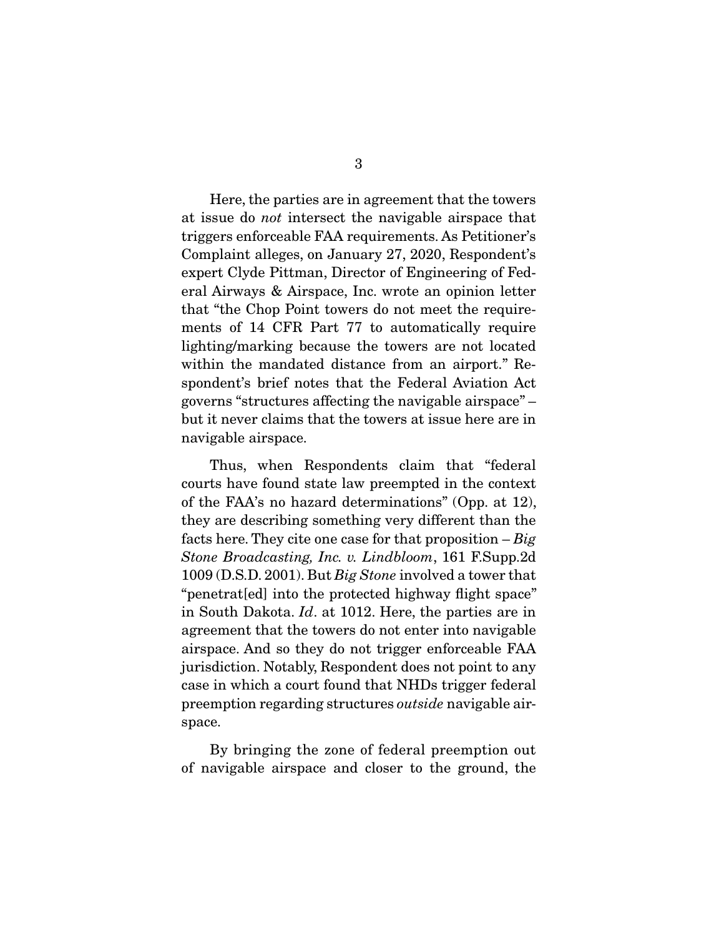Here, the parties are in agreement that the towers at issue do not intersect the navigable airspace that triggers enforceable FAA requirements. As Petitioner's Complaint alleges, on January 27, 2020, Respondent's expert Clyde Pittman, Director of Engineering of Federal Airways & Airspace, Inc. wrote an opinion letter that "the Chop Point towers do not meet the requirements of 14 CFR Part 77 to automatically require lighting/marking because the towers are not located within the mandated distance from an airport." Respondent's brief notes that the Federal Aviation Act governs "structures affecting the navigable airspace" – but it never claims that the towers at issue here are in navigable airspace.

 Thus, when Respondents claim that "federal courts have found state law preempted in the context of the FAA's no hazard determinations" (Opp. at 12), they are describing something very different than the facts here. They cite one case for that proposition  $-Big$ Stone Broadcasting, Inc. v. Lindbloom, 161 F.Supp.2d 1009 (D.S.D. 2001). But Big Stone involved a tower that "penetrat[ed] into the protected highway flight space" in South Dakota. Id. at 1012. Here, the parties are in agreement that the towers do not enter into navigable airspace. And so they do not trigger enforceable FAA jurisdiction. Notably, Respondent does not point to any case in which a court found that NHDs trigger federal preemption regarding structures outside navigable airspace.

 By bringing the zone of federal preemption out of navigable airspace and closer to the ground, the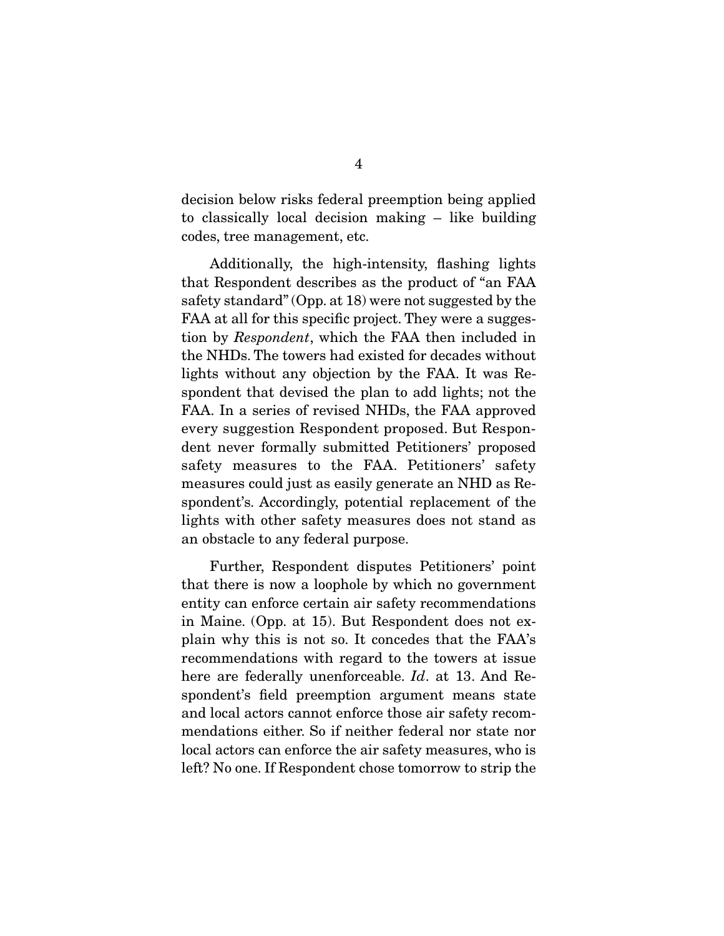decision below risks federal preemption being applied to classically local decision making – like building codes, tree management, etc.

 Additionally, the high-intensity, flashing lights that Respondent describes as the product of "an FAA safety standard" (Opp. at 18) were not suggested by the FAA at all for this specific project. They were a suggestion by Respondent, which the FAA then included in the NHDs. The towers had existed for decades without lights without any objection by the FAA. It was Respondent that devised the plan to add lights; not the FAA. In a series of revised NHDs, the FAA approved every suggestion Respondent proposed. But Respondent never formally submitted Petitioners' proposed safety measures to the FAA. Petitioners' safety measures could just as easily generate an NHD as Respondent's. Accordingly, potential replacement of the lights with other safety measures does not stand as an obstacle to any federal purpose.

 Further, Respondent disputes Petitioners' point that there is now a loophole by which no government entity can enforce certain air safety recommendations in Maine. (Opp. at 15). But Respondent does not explain why this is not so. It concedes that the FAA's recommendations with regard to the towers at issue here are federally unenforceable. *Id.* at 13. And Respondent's field preemption argument means state and local actors cannot enforce those air safety recommendations either. So if neither federal nor state nor local actors can enforce the air safety measures, who is left? No one. If Respondent chose tomorrow to strip the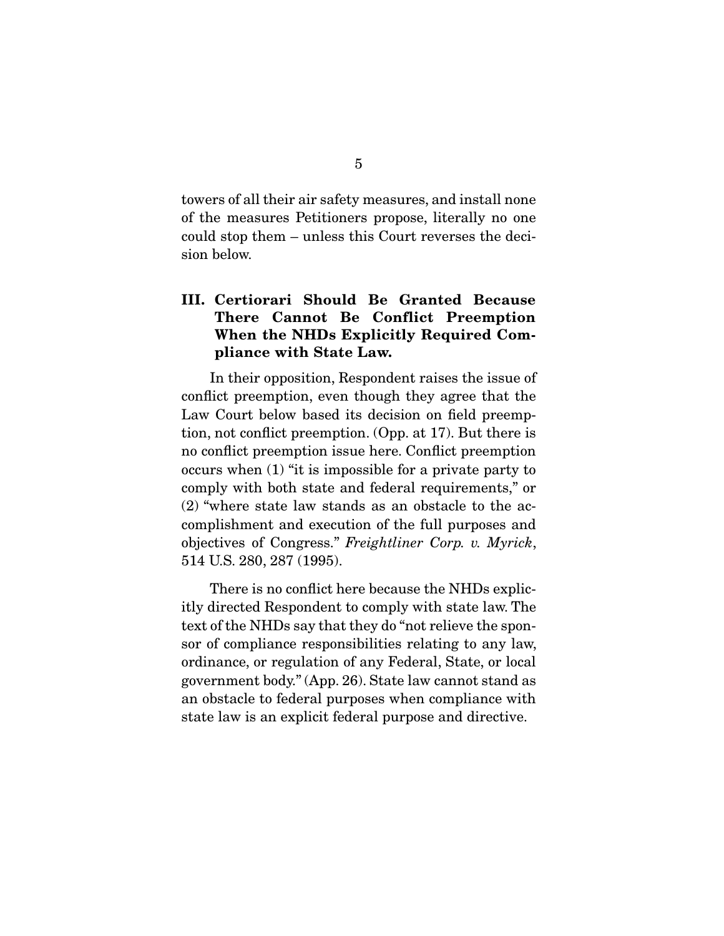towers of all their air safety measures, and install none of the measures Petitioners propose, literally no one could stop them – unless this Court reverses the decision below.

## **III. Certiorari Should Be Granted Because There Cannot Be Conflict Preemption When the NHDs Explicitly Required Compliance with State Law.**

 In their opposition, Respondent raises the issue of conflict preemption, even though they agree that the Law Court below based its decision on field preemption, not conflict preemption. (Opp. at 17). But there is no conflict preemption issue here. Conflict preemption occurs when (1) "it is impossible for a private party to comply with both state and federal requirements," or (2) "where state law stands as an obstacle to the accomplishment and execution of the full purposes and objectives of Congress." Freightliner Corp. v. Myrick, 514 U.S. 280, 287 (1995).

 There is no conflict here because the NHDs explicitly directed Respondent to comply with state law. The text of the NHDs say that they do "not relieve the sponsor of compliance responsibilities relating to any law, ordinance, or regulation of any Federal, State, or local government body." (App. 26). State law cannot stand as an obstacle to federal purposes when compliance with state law is an explicit federal purpose and directive.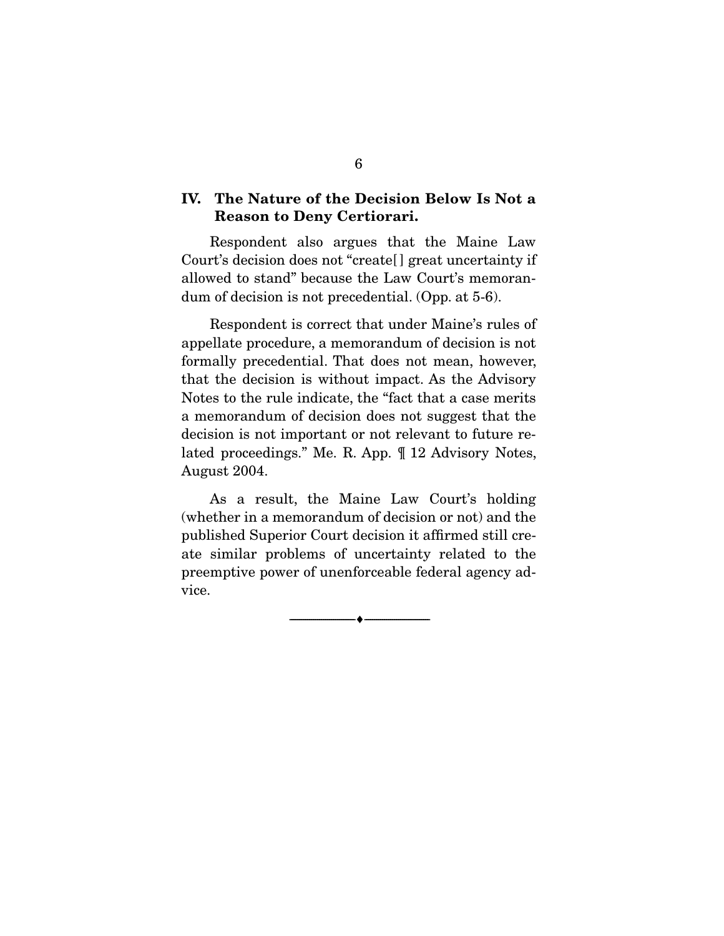### **IV. The Nature of the Decision Below Is Not a Reason to Deny Certiorari.**

 Respondent also argues that the Maine Law Court's decision does not "create[ ] great uncertainty if allowed to stand" because the Law Court's memorandum of decision is not precedential. (Opp. at 5-6).

 Respondent is correct that under Maine's rules of appellate procedure, a memorandum of decision is not formally precedential. That does not mean, however, that the decision is without impact. As the Advisory Notes to the rule indicate, the "fact that a case merits a memorandum of decision does not suggest that the decision is not important or not relevant to future related proceedings." Me. R. App. ¶ 12 Advisory Notes, August 2004.

 As a result, the Maine Law Court's holding (whether in a memorandum of decision or not) and the published Superior Court decision it affirmed still create similar problems of uncertainty related to the preemptive power of unenforceable federal agency advice.

--------------------------------- ♦ ---------------------------------

6